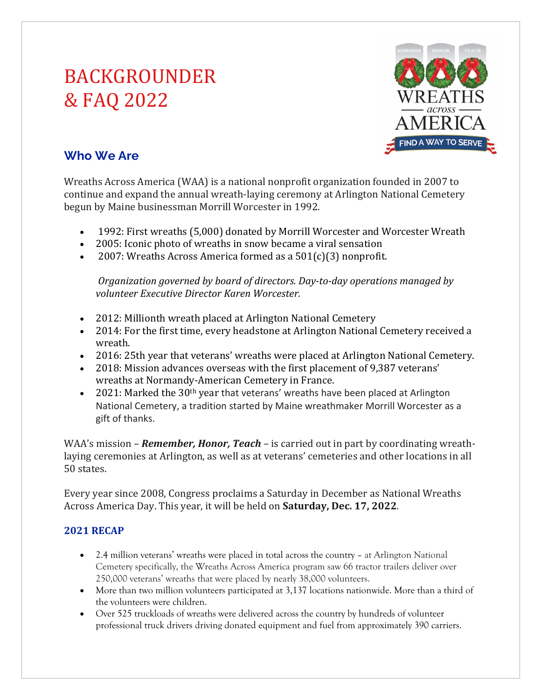# BACKGROUNDER & FAQ 2022



# **Who We Are**

Wreaths Across America (WAA) is a national nonprofit organization founded in 2007 to continue and expand the annual wreath-laying ceremony at Arlington National Cemetery begun by Maine businessman Morrill Worcester in 1992.

- 1992: First wreaths (5,000) donated by Morrill Worcester and Worcester Wreath
- 2005: Iconic photo of wreaths in snow became a viral sensation
- 2007: Wreaths Across America formed as a  $501(c)(3)$  nonprofit.

*Organization governed by board of directors. Day-to-day operations managed by volunteer Executive Director Karen Worcester.*

- 2012: Millionth wreath placed at Arlington National Cemetery
- 2014: For the first time, every headstone at Arlington National Cemetery received a wreath.
- 2016: 25th year that veterans' wreaths were placed at Arlington National Cemetery.
- 2018: Mission advances overseas with the first placement of 9,387 veterans' wreaths at Normandy-American Cemetery in France.
- 2021: Marked the  $30<sup>th</sup>$  year that veterans' wreaths have been placed at Arlington National Cemetery, a tradition started by Maine wreathmaker Morrill Worcester as a gift of thanks.

WAA's mission – *Remember, Honor, Teach* – is carried out in part by coordinating wreathlaying ceremonies at Arlington, as well as at veterans' cemeteries and other locations in all 50 states. 

Every year since 2008, Congress proclaims a Saturday in December as National Wreaths Across America Day. This year, it will be held on **Saturday, Dec. 17, 2022**.

## **2021 RECAP**

- 2.4 million veterans' wreaths were placed in total across the country at Arlington National Cemetery specifically, the Wreaths Across America program saw 66 tractor trailers deliver over 250,000 veterans' wreaths that were placed by nearly 38,000 volunteers.
- More than two million volunteers participated at 3,137 locations nationwide. More than a third of the volunteers were children.
- Over 525 truckloads of wreaths were delivered across the country by hundreds of volunteer professional truck drivers driving donated equipment and fuel from approximately 390 carriers.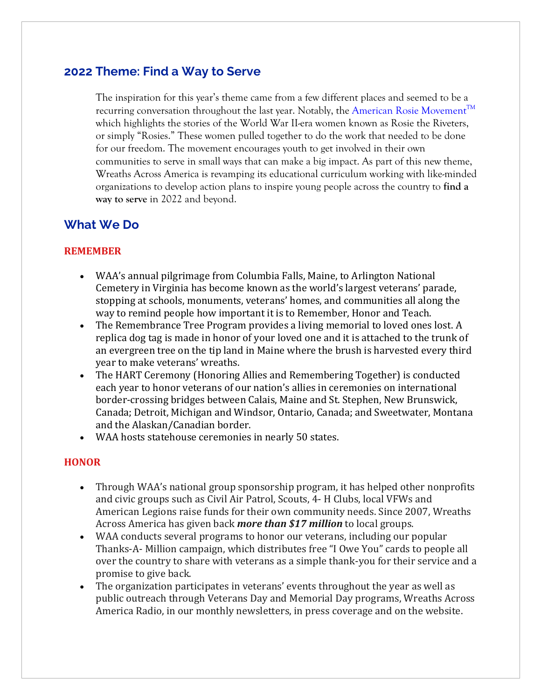## **2022 Theme: Find a Way to Serve**

The inspiration for this year's theme came from a few different places and seemed to be a recurring conversation throughout the last year. Notably, the American Rosie Movement<sup>TM</sup> which highlights the stories of the World War II-era women known as Rosie the Riveters, or simply "Rosies." These women pulled together to do the work that needed to be done for our freedom. The movement encourages youth to get involved in their own communities to serve in small ways that can make a big impact. As part of this new theme, Wreaths Across America is revamping its educational curriculum working with like-minded organizations to develop action plans to inspire young people across the country to **find a way to serve** in 2022 and beyond.

## **What We Do**

#### **REMEMBER**

- WAA's annual pilgrimage from Columbia Falls, Maine, to Arlington National Cemetery in Virginia has become known as the world's largest veterans' parade, stopping at schools, monuments, veterans' homes, and communities all along the way to remind people how important it is to Remember, Honor and Teach.
- The Remembrance Tree Program provides a living memorial to loved ones lost. A replica dog tag is made in honor of your loved one and it is attached to the trunk of an evergreen tree on the tip land in Maine where the brush is harvested every third year to make veterans' wreaths.
- The HART Ceremony (Honoring Allies and Remembering Together) is conducted each year to honor veterans of our nation's allies in ceremonies on international border-crossing bridges between Calais, Maine and St. Stephen, New Brunswick, Canada; Detroit, Michigan and Windsor, Ontario, Canada; and Sweetwater, Montana and the Alaskan/Canadian border.
- WAA hosts statehouse ceremonies in nearly 50 states.

#### **HONOR**

- Through WAA's national group sponsorship program, it has helped other nonprofits and civic groups such as Civil Air Patrol, Scouts, 4- H Clubs, local VFWs and American Legions raise funds for their own community needs. Since 2007, Wreaths Across America has given back *more than* \$17 *million* to local groups.
- WAA conducts several programs to honor our veterans, including our popular Thanks-A- Million campaign, which distributes free "I Owe You" cards to people all over the country to share with veterans as a simple thank-you for their service and a promise to give back.
- The organization participates in veterans' events throughout the year as well as public outreach through Veterans Day and Memorial Day programs, Wreaths Across America Radio, in our monthly newsletters, in press coverage and on the website.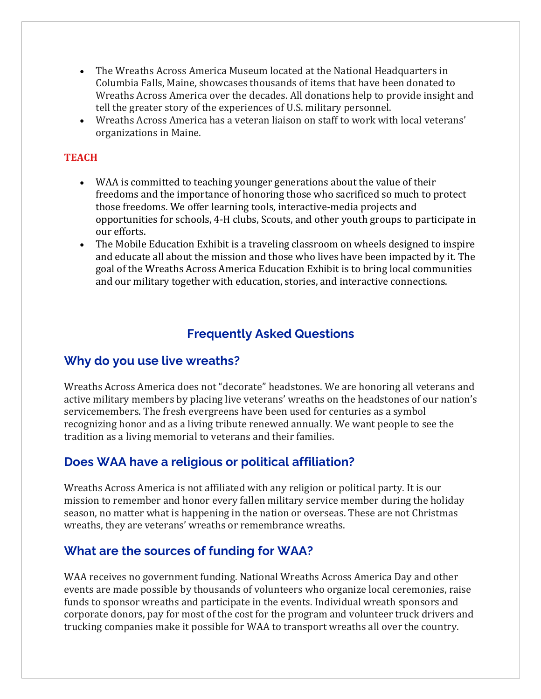- The Wreaths Across America Museum located at the National Headquarters in Columbia Falls, Maine, showcases thousands of items that have been donated to Wreaths Across America over the decades. All donations help to provide insight and tell the greater story of the experiences of U.S. military personnel.
- Wreaths Across America has a veteran liaison on staff to work with local veterans' organizations in Maine.

#### **TEACH**

- WAA is committed to teaching younger generations about the value of their freedoms and the importance of honoring those who sacrificed so much to protect those freedoms. We offer learning tools, interactive-media projects and opportunities for schools, 4-H clubs, Scouts, and other youth groups to participate in our efforts.
- The Mobile Education Exhibit is a traveling classroom on wheels designed to inspire and educate all about the mission and those who lives have been impacted by it. The goal of the Wreaths Across America Education Exhibit is to bring local communities and our military together with education, stories, and interactive connections.

## **Frequently Asked Questions**

## **Why do you use live wreaths?**

Wreaths Across America does not "decorate" headstones. We are honoring all veterans and active military members by placing live veterans' wreaths on the headstones of our nation's servicemembers. The fresh evergreens have been used for centuries as a symbol recognizing honor and as a living tribute renewed annually. We want people to see the tradition as a living memorial to veterans and their families.

## **Does WAA have a religious or political affiliation?**

Wreaths Across America is not affiliated with any religion or political party. It is our mission to remember and honor every fallen military service member during the holiday season, no matter what is happening in the nation or overseas. These are not Christmas wreaths, they are veterans' wreaths or remembrance wreaths.

## **What are the sources of funding for WAA?**

WAA receives no government funding. National Wreaths Across America Day and other events are made possible by thousands of volunteers who organize local ceremonies, raise funds to sponsor wreaths and participate in the events. Individual wreath sponsors and corporate donors, pay for most of the cost for the program and volunteer truck drivers and trucking companies make it possible for WAA to transport wreaths all over the country.